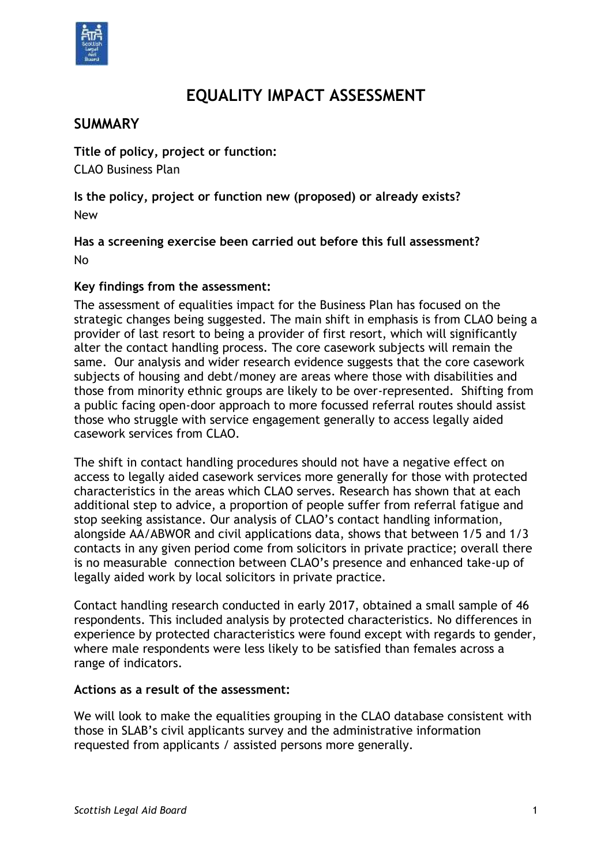

# **EQUALITY IMPACT ASSESSMENT**

# **SUMMARY**

**Title of policy, project or function:** CLAO Business Plan

**Is the policy, project or function new (proposed) or already exists?**  New

**Has a screening exercise been carried out before this full assessment?** No

#### **Key findings from the assessment:**

The assessment of equalities impact for the Business Plan has focused on the strategic changes being suggested. The main shift in emphasis is from CLAO being a provider of last resort to being a provider of first resort, which will significantly alter the contact handling process. The core casework subjects will remain the same. Our analysis and wider research evidence suggests that the core casework subjects of housing and debt/money are areas where those with disabilities and those from minority ethnic groups are likely to be over-represented. Shifting from a public facing open-door approach to more focussed referral routes should assist those who struggle with service engagement generally to access legally aided casework services from CLAO.

The shift in contact handling procedures should not have a negative effect on access to legally aided casework services more generally for those with protected characteristics in the areas which CLAO serves. Research has shown that at each additional step to advice, a proportion of people suffer from referral fatigue and stop seeking assistance. Our analysis of CLAO's contact handling information, alongside AA/ABWOR and civil applications data, shows that between 1/5 and 1/3 contacts in any given period come from solicitors in private practice; overall there is no measurable connection between CLAO's presence and enhanced take-up of legally aided work by local solicitors in private practice.

Contact handling research conducted in early 2017, obtained a small sample of 46 respondents. This included analysis by protected characteristics. No differences in experience by protected characteristics were found except with regards to gender, where male respondents were less likely to be satisfied than females across a range of indicators.

#### **Actions as a result of the assessment:**

We will look to make the equalities grouping in the CLAO database consistent with those in SLAB's civil applicants survey and the administrative information requested from applicants / assisted persons more generally.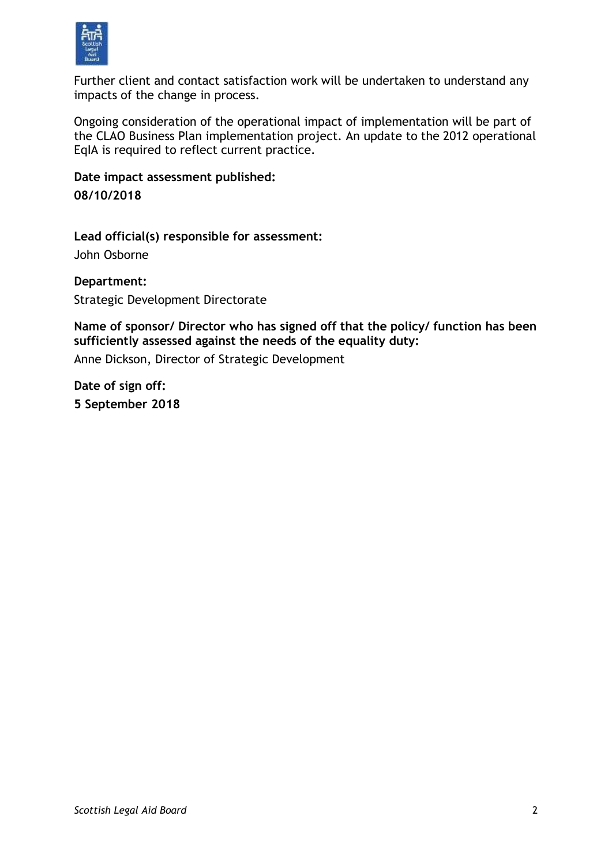

Further client and contact satisfaction work will be undertaken to understand any impacts of the change in process.

Ongoing consideration of the operational impact of implementation will be part of the CLAO Business Plan implementation project. An update to the 2012 operational EqIA is required to reflect current practice.

**Date impact assessment published: 08/10/2018**

**Lead official(s) responsible for assessment:** John Osborne

**Department:** Strategic Development Directorate

**Name of sponsor/ Director who has signed off that the policy/ function has been sufficiently assessed against the needs of the equality duty:**

Anne Dickson, Director of Strategic Development

**Date of sign off: 5 September 2018**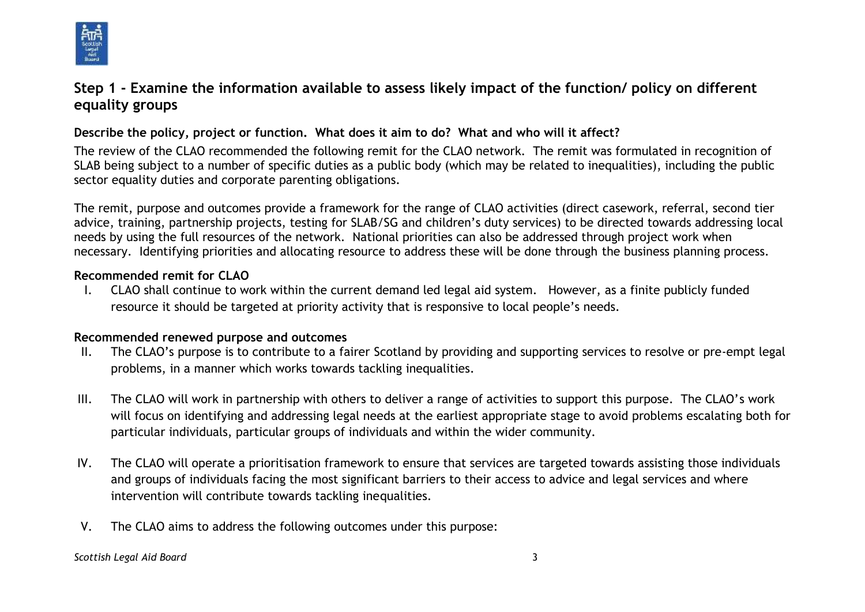

# **Step 1 - Examine the information available to assess likely impact of the function/ policy on different equality groups**

### **Describe the policy, project or function. What does it aim to do? What and who will it affect?**

The review of the CLAO recommended the following remit for the CLAO network. The remit was formulated in recognition of SLAB being subject to a number of specific duties as a public body (which may be related to inequalities), including the public sector equality duties and corporate parenting obligations.

The remit, purpose and outcomes provide a framework for the range of CLAO activities (direct casework, referral, second tier advice, training, partnership projects, testing for SLAB/SG and children's duty services) to be directed towards addressing local needs by using the full resources of the network. National priorities can also be addressed through project work when necessary. Identifying priorities and allocating resource to address these will be done through the business planning process.

#### **Recommended remit for CLAO**

I. CLAO shall continue to work within the current demand led legal aid system. However, as a finite publicly funded resource it should be targeted at priority activity that is responsive to local people's needs.

### **Recommended renewed purpose and outcomes**

- II. The CLAO's purpose is to contribute to a fairer Scotland by providing and supporting services to resolve or pre-empt legal problems, in a manner which works towards tackling inequalities.
- III. The CLAO will work in partnership with others to deliver a range of activities to support this purpose. The CLAO's work will focus on identifying and addressing legal needs at the earliest appropriate stage to avoid problems escalating both for particular individuals, particular groups of individuals and within the wider community.
- IV. The CLAO will operate a prioritisation framework to ensure that services are targeted towards assisting those individuals and groups of individuals facing the most significant barriers to their access to advice and legal services and where intervention will contribute towards tackling inequalities.
- V. The CLAO aims to address the following outcomes under this purpose:

*Scottish Legal Aid Board* 3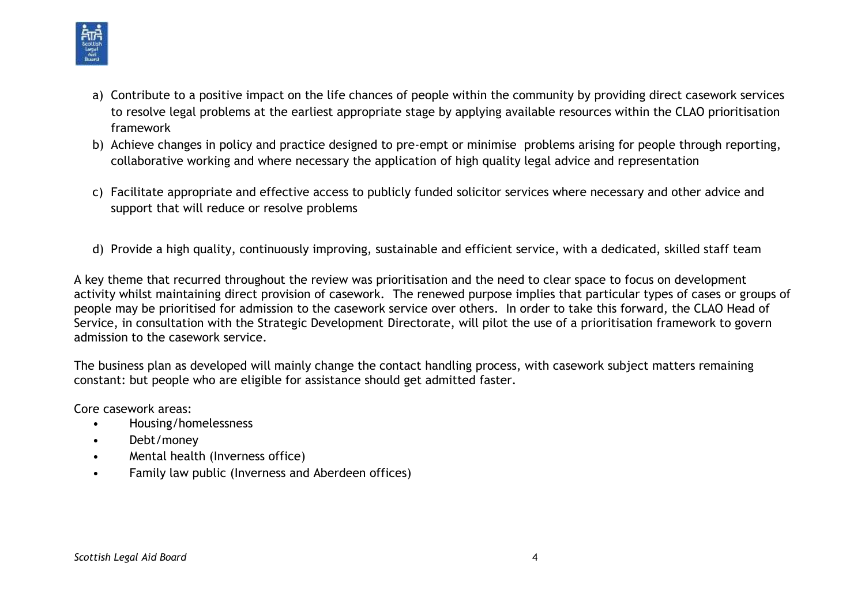

- a) Contribute to a positive impact on the life chances of people within the community by providing direct casework services to resolve legal problems at the earliest appropriate stage by applying available resources within the CLAO prioritisation framework
- b) Achieve changes in policy and practice designed to pre-empt or minimise problems arising for people through reporting, collaborative working and where necessary the application of high quality legal advice and representation
- c) Facilitate appropriate and effective access to publicly funded solicitor services where necessary and other advice and support that will reduce or resolve problems
- d) Provide a high quality, continuously improving, sustainable and efficient service, with a dedicated, skilled staff team

A key theme that recurred throughout the review was prioritisation and the need to clear space to focus on development activity whilst maintaining direct provision of casework. The renewed purpose implies that particular types of cases or groups of people may be prioritised for admission to the casework service over others. In order to take this forward, the CLAO Head of Service, in consultation with the Strategic Development Directorate, will pilot the use of a prioritisation framework to govern admission to the casework service.

The business plan as developed will mainly change the contact handling process, with casework subject matters remaining constant: but people who are eligible for assistance should get admitted faster.

Core casework areas:

- Housing/homelessness
- Debt/money
- Mental health (Inverness office)
- Family law public (Inverness and Aberdeen offices)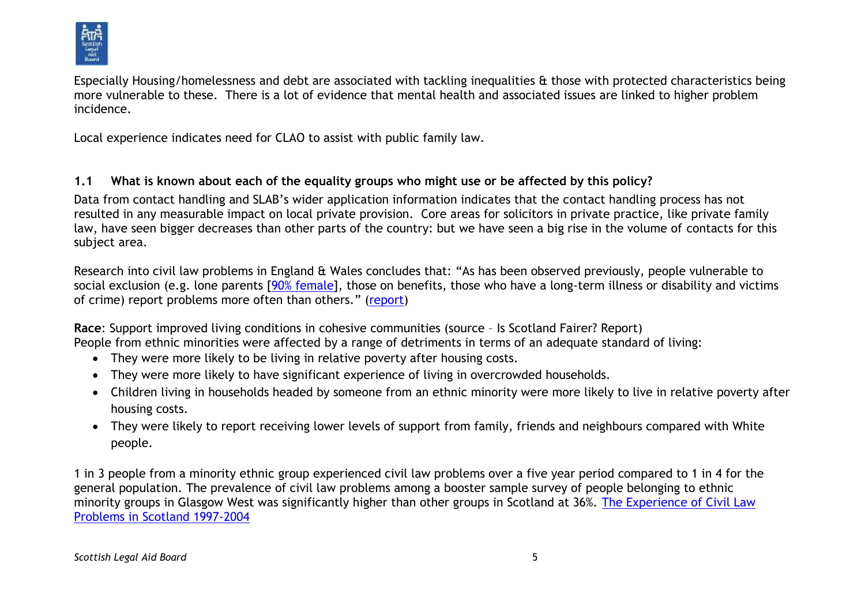

Especially Housing/homelessness and debt are associated with tackling inequalities & those with protected characteristics being more vulnerable to these. There is a lot of evidence that mental health and associated issues are linked to higher problem incidence.

Local experience indicates need for CLAO to assist with public family law.

### **1.1 What is known about each of the equality groups who might use or be affected by this policy?**

Data from contact handling and SLAB's wider application information indicates that the contact handling process has not resulted in any measurable impact on local private provision. Core areas for solicitors in private practice, like private family law, have seen bigger decreases than other parts of the country: but we have seen a big rise in the volume of contacts for this subject area.

Research into civil law problems in England & Wales concludes that: "As has been observed previously, people vulnerable to social exclusion (e.g. lone parents [\[90% female\]](http://www.parentingacrossscotland.org/policy--research/facts-about-families-in-scotland.aspx), those on benefits, those who have a long-term illness or disability and victims of crime) report problems more often than others." [\(report\)](file://///cifssata/Common/Common/Policy/Development%20&%20Policy/Planning%20and%20Co-ordination/Needs%20assessment/England&Wales/2010CSJSAnnualReport.pdf)

**Race**: Support improved living conditions in cohesive communities (source – Is Scotland Fairer? Report) People from ethnic minorities were affected by a range of detriments in terms of an adequate standard of living:

- They were more likely to be living in relative poverty after housing costs.
- They were more likely to have significant experience of living in overcrowded households.
- Children living in households headed by someone from an ethnic minority were more likely to live in relative poverty after housing costs.
- They were likely to report receiving lower levels of support from family, friends and neighbours compared with White people.

1 in 3 people from a minority ethnic group experienced civil law problems over a five year period compared to 1 in 4 for the general population. The prevalence of civil law problems among a booster sample survey of people belonging to ethnic minority groups in Glasgow West was significantly higher than other groups in Scotland at 36%. [The Experience of Civil Law](http://www.scotland.gov.uk/Publications/2010/11/15095623/0)  [Problems in Scotland 1997-2004](http://www.scotland.gov.uk/Publications/2010/11/15095623/0)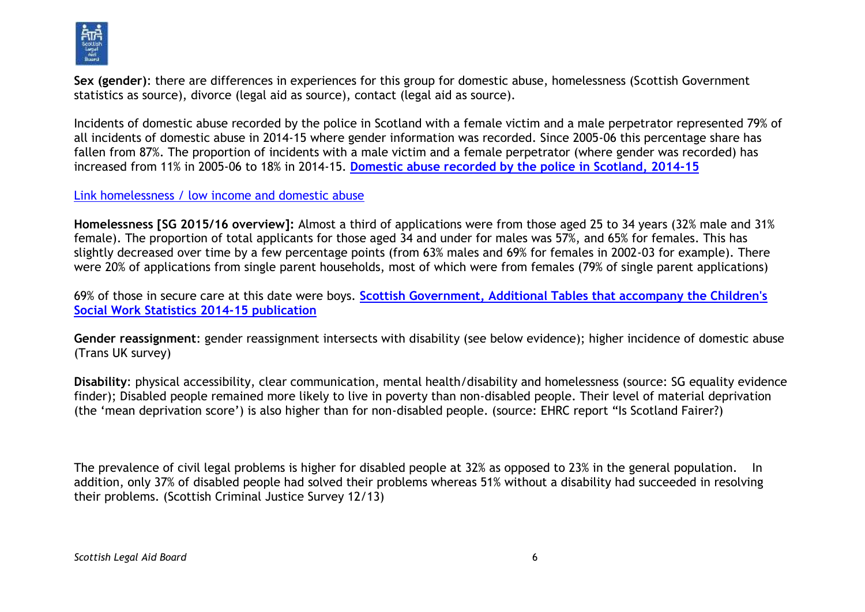

**Sex (gender)**: there are differences in experiences for this group for domestic abuse, homelessness (Scottish Government statistics as source), divorce (legal aid as source), contact (legal aid as source).

Incidents of domestic abuse recorded by the police in Scotland with a female victim and a male perpetrator represented 79% of all incidents of domestic abuse in 2014-15 where gender information was recorded. Since 2005-06 this percentage share has fallen from 87%. The proportion of incidents with a male victim and a female perpetrator (where gender was recorded) has increased from 11% in 2005-06 to 18% in 2014-15. **[Domestic abuse recorded by the police in Scotland, 2014-15](http://www.gov.scot/Publications/2015/10/8859)**

#### [Link homelessness / low income and domestic abuse](file://///cifssata/Common/Common/Policy/Development%20&%20Policy/Gender%20Based%20Violence/Justice%20Board%20and%20DA/August%202015%20DA%20civil%20and%20criminal%20notes.docx)

**Homelessness [SG 2015/16 overview]:** Almost a third of applications were from those aged 25 to 34 years (32% male and 31% female). The proportion of total applicants for those aged 34 and under for males was 57%, and 65% for females. This has slightly decreased over time by a few percentage points (from 63% males and 69% for females in 2002-03 for example). There were 20% of applications from single parent households, most of which were from females (79% of single parent applications)

69% of those in secure care at this date were boys. **[Scottish Government, Additional Tables that accompany the Children's](http://www.gov.scot/Publications/2016/03/5133)  [Social Work Statistics 2014-15 publication](http://www.gov.scot/Publications/2016/03/5133)**

**Gender reassignment**: gender reassignment intersects with disability (see below evidence); higher incidence of domestic abuse (Trans UK survey)

**Disability**: physical accessibility, clear communication, mental health/disability and homelessness (source: SG equality evidence finder); Disabled people remained more likely to live in poverty than non-disabled people. Their level of material deprivation (the 'mean deprivation score') is also higher than for non-disabled people. (source: EHRC report "Is Scotland Fairer?)

The prevalence of civil legal problems is higher for disabled people at 32% as opposed to 23% in the general population. In addition, only 37% of disabled people had solved their problems whereas 51% without a disability had succeeded in resolving their problems. (Scottish Criminal Justice Survey 12/13)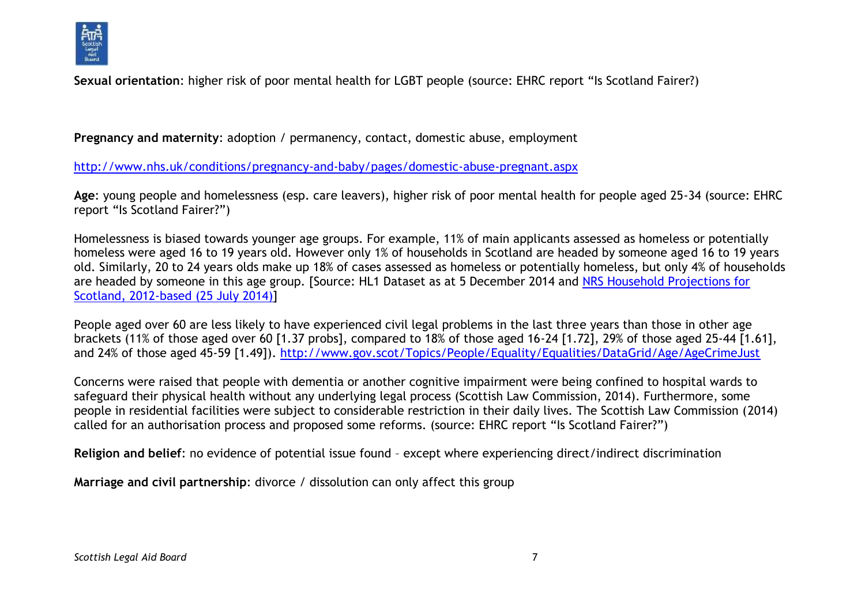

**Sexual orientation**: higher risk of poor mental health for LGBT people (source: EHRC report "Is Scotland Fairer?)

**Pregnancy and maternity**: adoption / permanency, contact, domestic abuse, employment

<http://www.nhs.uk/conditions/pregnancy-and-baby/pages/domestic-abuse-pregnant.aspx>

**Age**: young people and homelessness (esp. care leavers), higher risk of poor mental health for people aged 25-34 (source: EHRC report "Is Scotland Fairer?")

Homelessness is biased towards younger age groups. For example, 11% of main applicants assessed as homeless or potentially homeless were aged 16 to 19 years old. However only 1% of households in Scotland are headed by someone aged 16 to 19 years old. Similarly, 20 to 24 years olds make up 18% of cases assessed as homeless or potentially homeless, but only 4% of households are headed by someone in this age group. [Source: HL1 Dataset as at 5 December 2014 and [NRS Household Projections for](http://www.gro-scotland.gov.uk/files2/stats/household-projections/2012-based/2012-house-proj-tab3.xls)  [Scotland, 2012-based \(25 July 2014\)\]](http://www.gro-scotland.gov.uk/files2/stats/household-projections/2012-based/2012-house-proj-tab3.xls)

People aged over 60 are less likely to have experienced civil legal problems in the last three years than those in other age brackets (11% of those aged over 60 [1.37 probs], compared to 18% of those aged 16-24 [1.72], 29% of those aged 25-44 [1.61], and 24% of those aged 45-59 [1.49]).<http://www.gov.scot/Topics/People/Equality/Equalities/DataGrid/Age/AgeCrimeJust>

Concerns were raised that people with dementia or another cognitive impairment were being confined to hospital wards to safeguard their physical health without any underlying legal process (Scottish Law Commission, 2014). Furthermore, some people in residential facilities were subject to considerable restriction in their daily lives. The Scottish Law Commission (2014) called for an authorisation process and proposed some reforms. (source: EHRC report "Is Scotland Fairer?")

**Religion and belief**: no evidence of potential issue found – except where experiencing direct/indirect discrimination

**Marriage and civil partnership**: divorce / dissolution can only affect this group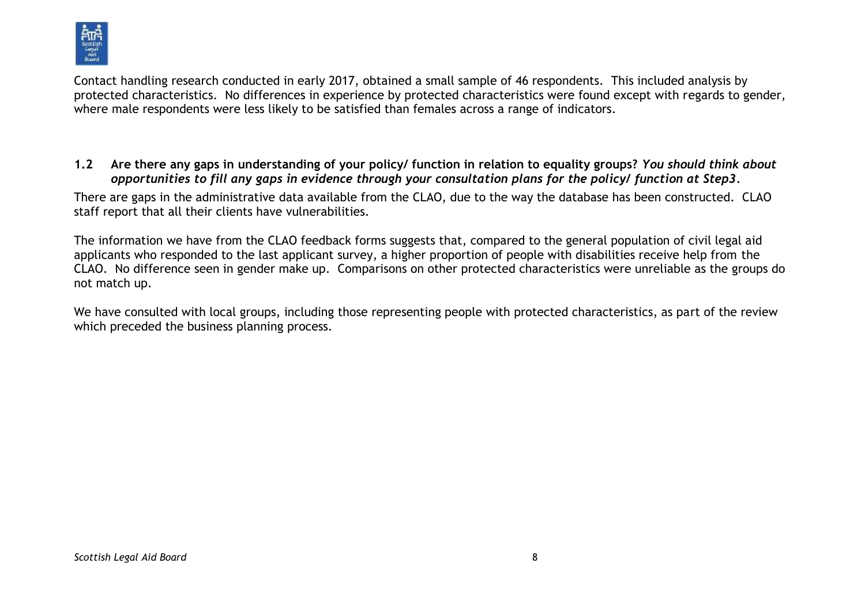

Contact handling research conducted in early 2017, obtained a small sample of 46 respondents. This included analysis by protected characteristics. No differences in experience by protected characteristics were found except with regards to gender, where male respondents were less likely to be satisfied than females across a range of indicators.

#### **1.2 Are there any gaps in understanding of your policy/ function in relation to equality groups?** *You should think about opportunities to fill any gaps in evidence through your consultation plans for the policy/ function at Step3.*

There are gaps in the administrative data available from the CLAO, due to the way the database has been constructed. CLAO staff report that all their clients have vulnerabilities.

The information we have from the CLAO feedback forms suggests that, compared to the general population of civil legal aid applicants who responded to the last applicant survey, a higher proportion of people with disabilities receive help from the CLAO. No difference seen in gender make up. Comparisons on other protected characteristics were unreliable as the groups do not match up.

We have consulted with local groups, including those representing people with protected characteristics, as part of the review which preceded the business planning process.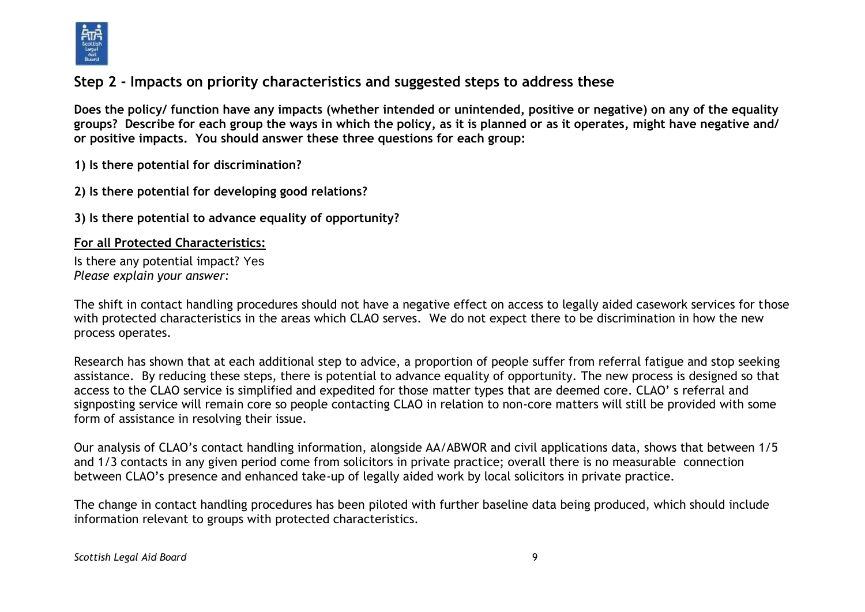

# **Step 2 - Impacts on priority characteristics and suggested steps to address these**

**Does the policy/ function have any impacts (whether intended or unintended, positive or negative) on any of the equality groups? Describe for each group the ways in which the policy, as it is planned or as it operates, might have negative and/ or positive impacts. You should answer these three questions for each group:** 

**1) Is there potential for discrimination?** 

**2) Is there potential for developing good relations?**

**3) Is there potential to advance equality of opportunity?**

#### **For all Protected Characteristics:**

Is there any potential impact? Yes *Please explain your answer:*

The shift in contact handling procedures should not have a negative effect on access to legally aided casework services for those with protected characteristics in the areas which CLAO serves. We do not expect there to be discrimination in how the new process operates.

Research has shown that at each additional step to advice, a proportion of people suffer from referral fatigue and stop seeking assistance. By reducing these steps, there is potential to advance equality of opportunity. The new process is designed so that access to the CLAO service is simplified and expedited for those matter types that are deemed core. CLAO' s referral and signposting service will remain core so people contacting CLAO in relation to non-core matters will still be provided with some form of assistance in resolving their issue.

Our analysis of CLAO's contact handling information, alongside AA/ABWOR and civil applications data, shows that between 1/5 and 1/3 contacts in any given period come from solicitors in private practice; overall there is no measurable connection between CLAO's presence and enhanced take-up of legally aided work by local solicitors in private practice.

The change in contact handling procedures has been piloted with further baseline data being produced, which should include information relevant to groups with protected characteristics.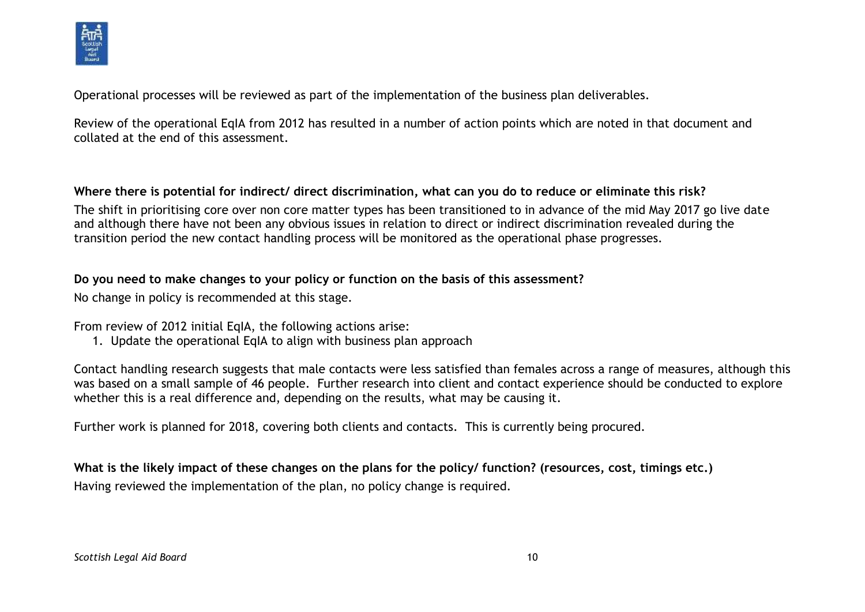

Operational processes will be reviewed as part of the implementation of the business plan deliverables.

Review of the operational EqIA from 2012 has resulted in a number of action points which are noted in that document and collated at the end of this assessment.

#### **Where there is potential for indirect/ direct discrimination, what can you do to reduce or eliminate this risk?**

The shift in prioritising core over non core matter types has been transitioned to in advance of the mid May 2017 go live date and although there have not been any obvious issues in relation to direct or indirect discrimination revealed during the transition period the new contact handling process will be monitored as the operational phase progresses.

### **Do you need to make changes to your policy or function on the basis of this assessment?**

No change in policy is recommended at this stage.

From review of 2012 initial EqIA, the following actions arise:

1. Update the operational EqIA to align with business plan approach

Contact handling research suggests that male contacts were less satisfied than females across a range of measures, although this was based on a small sample of 46 people. Further research into client and contact experience should be conducted to explore whether this is a real difference and, depending on the results, what may be causing it.

Further work is planned for 2018, covering both clients and contacts. This is currently being procured.

**What is the likely impact of these changes on the plans for the policy/ function? (resources, cost, timings etc.)** Having reviewed the implementation of the plan, no policy change is required.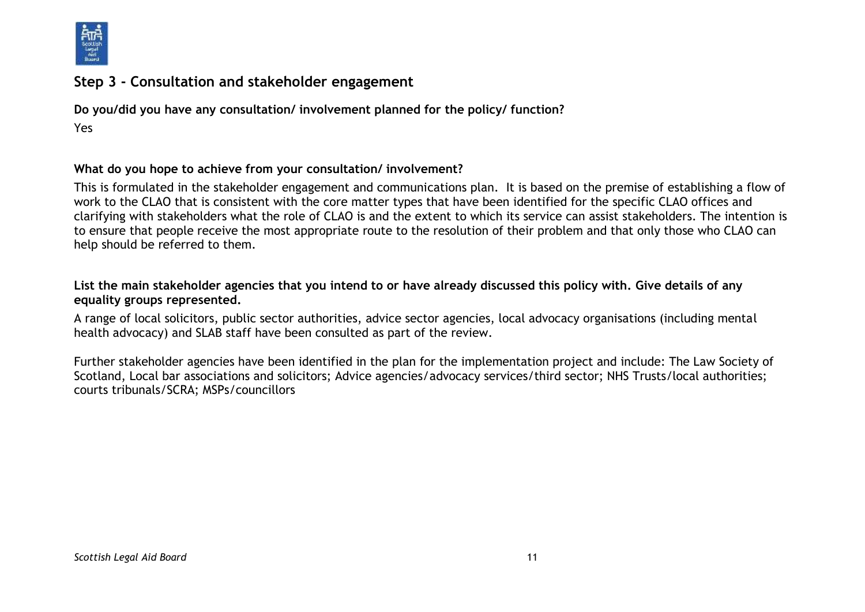

# **Step 3 - Consultation and stakeholder engagement**

**Do you/did you have any consultation/ involvement planned for the policy/ function?** Yes

#### **What do you hope to achieve from your consultation/ involvement?**

This is formulated in the stakeholder engagement and communications plan. It is based on the premise of establishing a flow of work to the CLAO that is consistent with the core matter types that have been identified for the specific CLAO offices and clarifying with stakeholders what the role of CLAO is and the extent to which its service can assist stakeholders. The intention is to ensure that people receive the most appropriate route to the resolution of their problem and that only those who CLAO can help should be referred to them.

#### **List the main stakeholder agencies that you intend to or have already discussed this policy with. Give details of any equality groups represented.**

A range of local solicitors, public sector authorities, advice sector agencies, local advocacy organisations (including mental health advocacy) and SLAB staff have been consulted as part of the review.

Further stakeholder agencies have been identified in the plan for the implementation project and include: The Law Society of Scotland, Local bar associations and solicitors; Advice agencies/advocacy services/third sector; NHS Trusts/local authorities; courts tribunals/SCRA; MSPs/councillors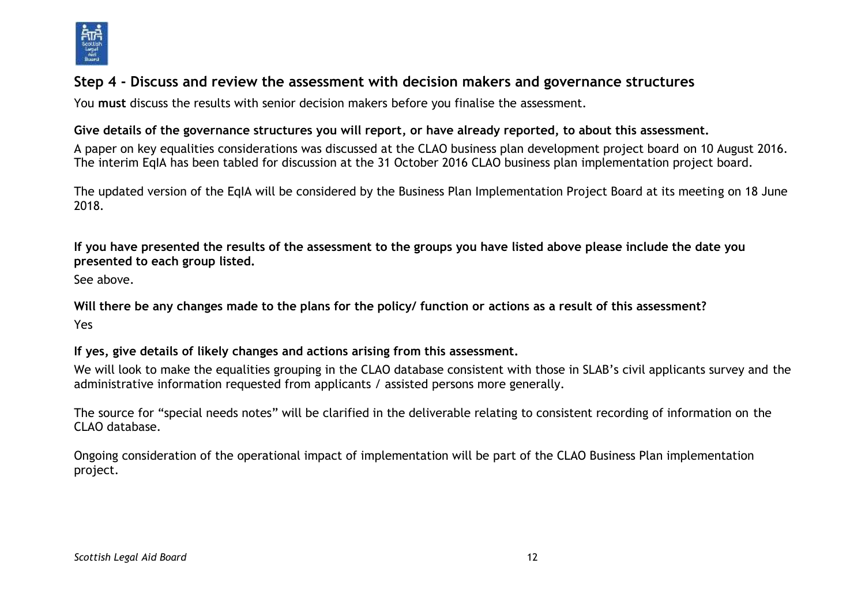

# **Step 4 - Discuss and review the assessment with decision makers and governance structures**

You **must** discuss the results with senior decision makers before you finalise the assessment.

#### **Give details of the governance structures you will report, or have already reported, to about this assessment.**

A paper on key equalities considerations was discussed at the CLAO business plan development project board on 10 August 2016. The interim EqIA has been tabled for discussion at the 31 October 2016 CLAO business plan implementation project board.

The updated version of the EqIA will be considered by the Business Plan Implementation Project Board at its meeting on 18 June 2018.

**If you have presented the results of the assessment to the groups you have listed above please include the date you presented to each group listed.**

See above.

**Will there be any changes made to the plans for the policy/ function or actions as a result of this assessment?** Yes

**If yes, give details of likely changes and actions arising from this assessment.**

We will look to make the equalities grouping in the CLAO database consistent with those in SLAB's civil applicants survey and the administrative information requested from applicants / assisted persons more generally.

The source for "special needs notes" will be clarified in the deliverable relating to consistent recording of information on the CLAO database.

Ongoing consideration of the operational impact of implementation will be part of the CLAO Business Plan implementation project.